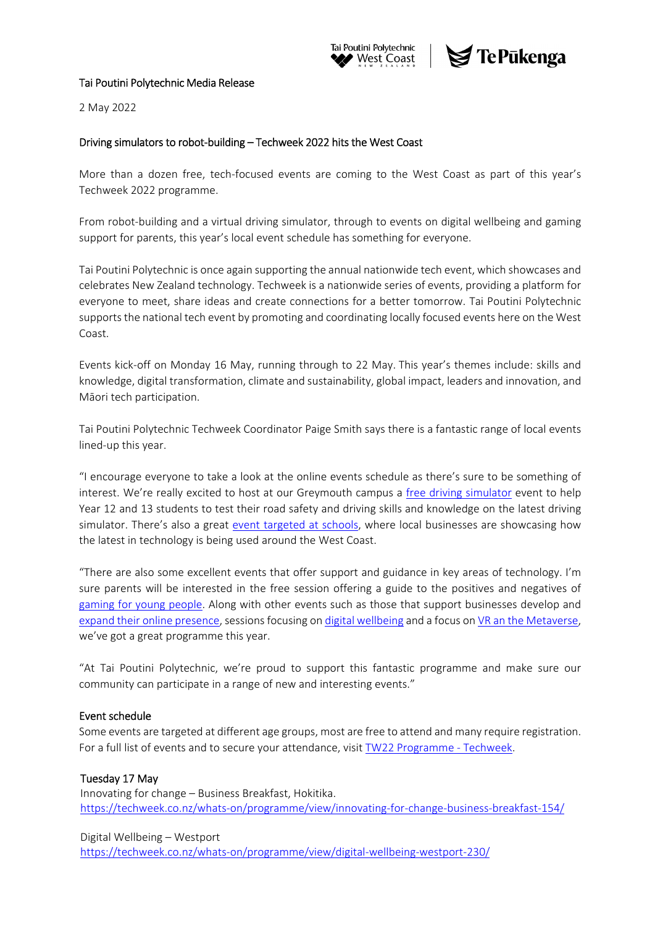



### Tai Poutini Polytechnic Media Release

2 May 2022

# Driving simulators to robot‐building – Techweek 2022 hits the West Coast

More than a dozen free, tech-focused events are coming to the West Coast as part of this year's Techweek 2022 programme.

From robot-building and a virtual driving simulator, through to events on digital wellbeing and gaming support for parents, this year's local event schedule has something for everyone.

Tai Poutini Polytechnic is once again supporting the annual nationwide tech event, which showcases and celebrates New Zealand technology. Techweek is a nationwide series of events, providing a platform for everyone to meet, share ideas and create connections for a better tomorrow. Tai Poutini Polytechnic supports the national tech event by promoting and coordinating locally focused events here on the West Coast.

Events kick‐off on Monday 16 May, running through to 22 May. This year's themes include: skills and knowledge, digital transformation, climate and sustainability, global impact, leaders and innovation, and Māori tech participation.

Tai Poutini Polytechnic Techweek Coordinator Paige Smith says there is a fantastic range of local events lined‐up this year.

"I encourage everyone to take a look at the online events schedule as there's sure to be something of interest. We're really excited to host at our Greymouth campus a free driving simulator event to help Year 12 and 13 students to test their road safety and driving skills and knowledge on the latest driving simulator. There's also a great event targeted at schools, where local businesses are showcasing how the latest in technology is being used around the West Coast.

"There are also some excellent events that offer support and guidance in key areas of technology. I'm sure parents will be interested in the free session offering a guide to the positives and negatives of gaming for young people. Along with other events such as those that support businesses develop and expand their online presence, sessions focusing on digital wellbeing and a focus on VR an the Metaverse, we've got a great programme this year.

"At Tai Poutini Polytechnic, we're proud to support this fantastic programme and make sure our community can participate in a range of new and interesting events."

### Event schedule

Some events are targeted at different age groups, most are free to attend and many require registration. For a full list of events and to secure your attendance, visit TW22 Programme ‐ Techweek.

# Tuesday 17 May

Innovating for change – Business Breakfast, Hokitika. https://techweek.co.nz/whats-on/programme/view/innovating-for-change-business-breakfast-154/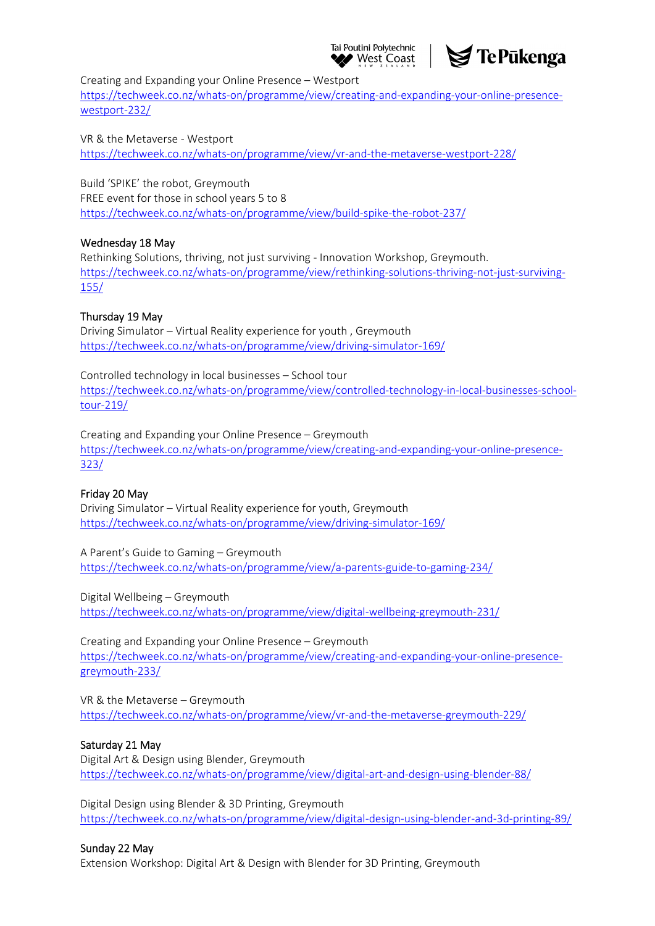### Tai Poutini Polytechnic West Coast



Creating and Expanding your Online Presence – Westport

https://techweek.co.nz/whats-on/programme/view/creating-and-expanding-your-online-presencewestport‐232/

VR & the Metaverse ‐ Westport https://techweek.co.nz/whats‐on/programme/view/vr‐and‐the‐metaverse‐westport‐228/

Build 'SPIKE' the robot, Greymouth FREE event for those in school years 5 to 8 https://techweek.co.nz/whats‐on/programme/view/build‐spike‐the‐robot‐237/

### Wednesday 18 May

Rethinking Solutions, thriving, not just surviving ‐ Innovation Workshop, Greymouth. https://techweek.co.nz/whats-on/programme/view/rethinking-solutions-thriving-not-just-surviving-155/

### Thursday 19 May

Driving Simulator – Virtual Reality experience for youth , Greymouth https://techweek.co.nz/whats‐on/programme/view/driving‐simulator‐169/

Controlled technology in local businesses – School tour https://techweek.co.nz/whats-on/programme/view/controlled-technology-in-local-businesses-schooltour‐219/

Creating and Expanding your Online Presence – Greymouth https://techweek.co.nz/whats-on/programme/view/creating-and-expanding-your-online-presence-323/

### Friday 20 May

Driving Simulator – Virtual Reality experience for youth, Greymouth https://techweek.co.nz/whats‐on/programme/view/driving‐simulator‐169/

A Parent's Guide to Gaming – Greymouth https://techweek.co.nz/whats‐on/programme/view/a‐parents‐guide‐to‐gaming‐234/

Digital Wellbeing – Greymouth https://techweek.co.nz/whats‐on/programme/view/digital‐wellbeing‐greymouth‐231/

Creating and Expanding your Online Presence – Greymouth https://techweek.co.nz/whats-on/programme/view/creating-and-expanding-your-online-presencegreymouth‐233/

VR & the Metaverse – Greymouth https://techweek.co.nz/whats‐on/programme/view/vr‐and‐the‐metaverse‐greymouth‐229/

# Saturday 21 May

Digital Art & Design using Blender, Greymouth https://techweek.co.nz/whats‐on/programme/view/digital‐art‐and‐design‐using‐blender‐88/

Digital Design using Blender & 3D Printing, Greymouth https://techweek.co.nz/whats‐on/programme/view/digital‐design‐using‐blender‐and‐3d‐printing‐89/

### Sunday 22 May

Extension Workshop: Digital Art & Design with Blender for 3D Printing, Greymouth